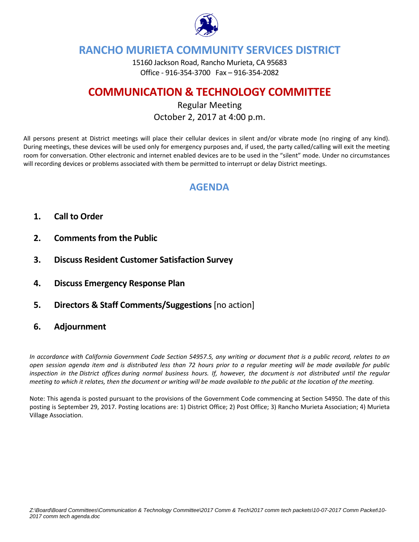

# **RANCHO MURIETA COMMUNITY SERVICES DISTRICT**

15160 Jackson Road, Rancho Murieta, CA 95683 Office ‐ 916‐354‐3700 Fax – 916‐354‐2082

# **COMMUNICATION & TECHNOLOGY COMMITTEE**

## Regular Meeting October 2, 2017 at 4:00 p.m.

All persons present at District meetings will place their cellular devices in silent and/or vibrate mode (no ringing of any kind). During meetings, these devices will be used only for emergency purposes and, if used, the party called/calling will exit the meeting room for conversation. Other electronic and internet enabled devices are to be used in the "silent" mode. Under no circumstances will recording devices or problems associated with them be permitted to interrupt or delay District meetings.

# **AGENDA**

- **1. Call to Order**
- **2. Comments from the Public**
- **3. Discuss Resident Customer Satisfaction Survey**
- **4. Discuss Emergency Response Plan**
- **5. Directors & Staff Comments/Suggestions** [no action]
- **6. Adjournment**

In accordance with California Government Code Section 54957.5, any writing or document that is a public record, relates to an open session agenda item and is distributed less than 72 hours prior to a regular meeting will be made available for public inspection in the District offices during normal business hours. If, however, the document is not distributed until the regular meeting to which it relates, then the document or writing will be made available to the public at the location of the meeting.

Note: This agenda is posted pursuant to the provisions of the Government Code commencing at Section 54950. The date of this posting is September 29, 2017. Posting locations are: 1) District Office; 2) Post Office; 3) Rancho Murieta Association; 4) Murieta Village Association.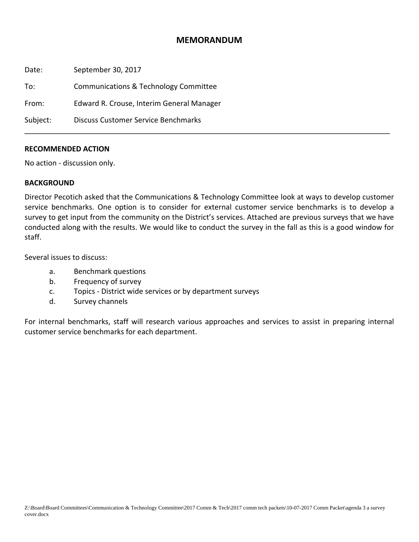### **MEMORANDUM**

Date: September 30, 2017 To: Communications & Technology Committee From: Edward R. Crouse, Interim General Manager Subject: Discuss Customer Service Benchmarks \_\_\_\_\_\_\_\_\_\_\_\_\_\_\_\_\_\_\_\_\_\_\_\_\_\_\_\_\_\_\_\_\_\_\_\_\_\_\_\_\_\_\_\_\_\_\_\_\_\_\_\_\_\_\_\_\_\_\_\_\_\_\_\_\_\_\_\_\_\_\_\_\_\_\_\_\_\_\_\_

### **RECOMMENDED ACTION**

No action ‐ discussion only.

### **BACKGROUND**

Director Pecotich asked that the Communications & Technology Committee look at ways to develop customer service benchmarks. One option is to consider for external customer service benchmarks is to develop a survey to get input from the community on the District's services. Attached are previous surveys that we have conducted along with the results. We would like to conduct the survey in the fall as this is a good window for staff.

Several issues to discuss:

- a. Benchmark questions
- b. Frequency of survey
- c. Topics ‐ District wide services or by department surveys
- d. Survey channels

For internal benchmarks, staff will research various approaches and services to assist in preparing internal customer service benchmarks for each department.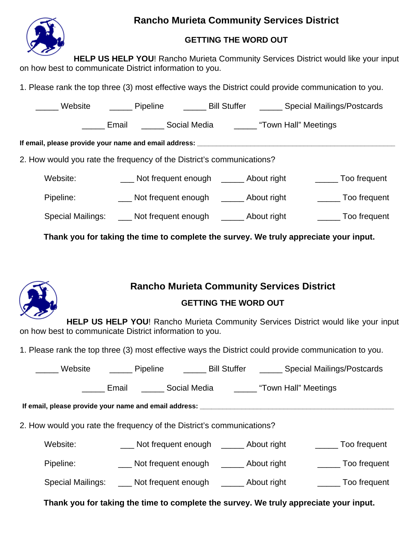# **Rancho Murieta Community Services District**



## **GETTING THE WORD OUT**

**HELP US HELP YOU!** Rancho Murieta Community Services District would like your input on how best to communicate District information to you.

1. Please rank the top three (3) most effective ways the District could provide communication to you.

|                                                                                  | Website ________ Pipeline _________ Bill Stuffer _______ Special Mailings/Postcards  |  |                                                      |                      |  |  |  |
|----------------------------------------------------------------------------------|--------------------------------------------------------------------------------------|--|------------------------------------------------------|----------------------|--|--|--|
|                                                                                  | Email                                                                                |  | _______ Social Media __________ "Town Hall" Meetings |                      |  |  |  |
| If email, please provide your name and email address: __________________________ |                                                                                      |  |                                                      |                      |  |  |  |
| 2. How would you rate the frequency of the District's communications?            |                                                                                      |  |                                                      |                      |  |  |  |
| Website:                                                                         | ___ Not frequent enough _____ About right                                            |  |                                                      | _______ Too frequent |  |  |  |
| Pipeline:                                                                        | Not frequent enough ________ About right                                             |  |                                                      | _______ Too frequent |  |  |  |
|                                                                                  | Special Mailings: _____ Not frequent enough _______ About right                      |  |                                                      | _______ Too frequent |  |  |  |
|                                                                                  | Thank you for taking the time to complete the survey. We truly appreciate your input |  |                                                      |                      |  |  |  |

**Thank you for taking the time to complete the survey. We truly appreciate your input.** 



# **Rancho Murieta Community Services District**

## **GETTING THE WORD OUT**

**HELP US HELP YOU!** Rancho Murieta Community Services District would like your input on how best to communicate District information to you.

1. Please rank the top three (3) most effective ways the District could provide communication to you.

\_\_\_\_\_ Website \_\_\_\_\_ Pipeline \_\_\_\_\_ Bill Stuffer \_\_\_\_\_ Special Mailings/Postcards

Email **Email** Social Media **Electe and Social Media** "Town Hall" Meetings

**If email, please provide your name and email address: \_\_\_\_\_\_\_\_\_\_\_\_\_\_\_\_\_\_\_\_\_\_\_\_\_\_\_\_\_\_\_\_\_\_\_\_\_\_\_\_\_\_\_\_\_\_\_\_\_\_\_** 

2. How would you rate the frequency of the District's communications?

Website: Not frequent enough \_\_\_\_\_\_\_ About right \_\_\_\_\_\_\_\_\_ Too frequent

Pipeline: \_\_\_\_\_\_\_\_\_\_\_\_\_\_Not frequent enough \_\_\_\_\_\_\_\_\_ About right \_\_\_\_\_\_\_\_\_\_\_\_ Too frequent

Special Mailings: \_\_\_\_ Not frequent enough \_\_\_\_\_\_ About right \_\_\_\_\_\_\_ Too frequent

**Thank you for taking the time to complete the survey. We truly appreciate your input.**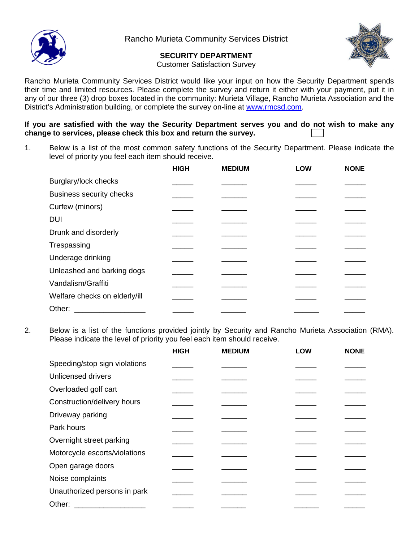

Rancho Murieta Community Services District

## **SECURITY DEPARTMENT**



Customer Satisfaction Survey

Rancho Murieta Community Services District would like your input on how the Security Department spends their time and limited resources. Please complete the survey and return it either with your payment, put it in any of our three (3) drop boxes located in the community: Murieta Village, Rancho Murieta Association and the District's Administration building, or complete the survey on-line at www.rmcsd.com.

**If you are satisfied with the way the Security Department serves you and do not wish to make any change to services, please check this box and return the survey.** 

1. Below is a list of the most common safety functions of the Security Department. Please indicate the level of priority you feel each item should receive.

|                                 | <b>HIGH</b> | <b>MEDIUM</b> | <b>LOW</b> | <b>NONE</b> |
|---------------------------------|-------------|---------------|------------|-------------|
| Burglary/lock checks            |             |               |            |             |
| <b>Business security checks</b> |             |               |            |             |
| Curfew (minors)                 |             |               |            |             |
| <b>DUI</b>                      |             |               |            |             |
| Drunk and disorderly            |             |               |            |             |
| Trespassing                     |             |               |            |             |
| Underage drinking               |             |               |            |             |
| Unleashed and barking dogs      |             |               |            |             |
| Vandalism/Graffiti              |             |               |            |             |
| Welfare checks on elderly/ill   |             |               |            |             |
| Other:                          |             |               |            |             |

2. Below is a list of the functions provided jointly by Security and Rancho Murieta Association (RMA). Please indicate the level of priority you feel each item should receive.

|                               | <b>HIGH</b> | <b>MEDIUM</b> | <b>LOW</b> | <b>NONE</b> |
|-------------------------------|-------------|---------------|------------|-------------|
| Speeding/stop sign violations |             |               |            |             |
| Unlicensed drivers            |             |               |            |             |
| Overloaded golf cart          |             |               |            |             |
| Construction/delivery hours   |             |               |            |             |
| Driveway parking              |             |               |            |             |
| Park hours                    |             |               |            |             |
| Overnight street parking      |             |               |            |             |
| Motorcycle escorts/violations |             |               |            |             |
| Open garage doors             |             |               |            |             |
| Noise complaints              |             |               |            |             |
| Unauthorized persons in park  |             |               |            |             |
| Other:                        |             |               |            |             |
|                               |             |               |            |             |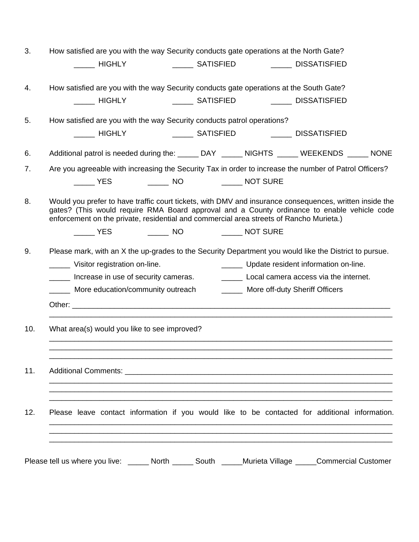| 3.  | How satisfied are you with the way Security conducts gate operations at the North Gate?                                                                                                                                                                                                           |
|-----|---------------------------------------------------------------------------------------------------------------------------------------------------------------------------------------------------------------------------------------------------------------------------------------------------|
|     | ______ HIGHLY       ______ SATISFIED      ______ DISSATISFIED                                                                                                                                                                                                                                     |
| 4.  | How satisfied are you with the way Security conducts gate operations at the South Gate?                                                                                                                                                                                                           |
|     | <b>NIGHLY</b><br>________ SATISFIED _____________ DISSATISFIED                                                                                                                                                                                                                                    |
| 5.  | How satisfied are you with the way Security conducts patrol operations?                                                                                                                                                                                                                           |
|     | _______ SATISFIED ___________ DISSATISFIED<br>_____ HIGHLY                                                                                                                                                                                                                                        |
| 6.  | Additional patrol is needed during the: ______ DAY _____ NIGHTS _____ WEEKENDS _____ NONE                                                                                                                                                                                                         |
| 7.  | Are you agreeable with increasing the Security Tax in order to increase the number of Patrol Officers?                                                                                                                                                                                            |
|     | $\rule{1em}{0.15mm}$ YES                                                                                                                                                                                                                                                                          |
| 8.  | Would you prefer to have traffic court tickets, with DMV and insurance consequences, written inside the<br>gates? (This would require RMA Board approval and a County ordinance to enable vehicle code<br>enforcement on the private, residential and commercial area streets of Rancho Murieta.) |
|     | ______ YES _________ NO ________ NOT SURE                                                                                                                                                                                                                                                         |
| 9.  | Please mark, with an X the up-grades to the Security Department you would like the District to pursue.                                                                                                                                                                                            |
|     | _______ Update resident information on-line.<br>______ Visitor registration on-line.                                                                                                                                                                                                              |
|     | Local camera access via the internet.<br>______ Increase in use of security cameras.                                                                                                                                                                                                              |
|     | More education/community outreach<br>______ More off-duty Sheriff Officers                                                                                                                                                                                                                        |
|     |                                                                                                                                                                                                                                                                                                   |
| 10. | What area(s) would you like to see improved?                                                                                                                                                                                                                                                      |
| 11. |                                                                                                                                                                                                                                                                                                   |
| 12. | Please leave contact information if you would like to be contacted for additional information.                                                                                                                                                                                                    |
|     | Please tell us where you live: ______ North ______ South _____Murieta Village _____Commercial Customer                                                                                                                                                                                            |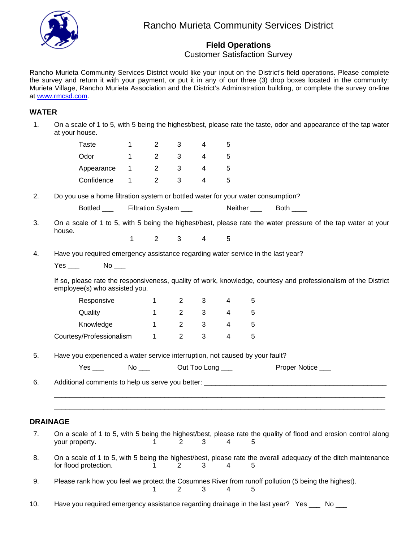

## **Field Operations**

Customer Satisfaction Survey

Rancho Murieta Community Services District would like your input on the District's field operations. Please complete the survey and return it with your payment, or put it in any of our three (3) drop boxes located in the community: Murieta Village, Rancho Murieta Association and the District's Administration building, or complete the survey on-line at www.rmcsd.com.

### **WATER**

 1. On a scale of 1 to 5, with 5 being the highest/best, please rate the taste, odor and appearance of the tap water at your house.

|    | <b>Taste</b>                                                                     | 1            | $\overline{2}$        | 3              | 4                | 5              |            |                                                                                                                 |  |
|----|----------------------------------------------------------------------------------|--------------|-----------------------|----------------|------------------|----------------|------------|-----------------------------------------------------------------------------------------------------------------|--|
|    | Odor                                                                             | 1            | $\overline{2}$        | 3              | 4                | 5              |            |                                                                                                                 |  |
|    | Appearance                                                                       | $\mathbf{1}$ | $\overline{2}$        | 3              | 4                | 5              |            |                                                                                                                 |  |
|    | Confidence                                                                       | $\mathbf 1$  | $\overline{2}$        | 3              | 4                | 5              |            |                                                                                                                 |  |
| 2. | Do you use a home filtration system or bottled water for your water consumption? |              |                       |                |                  |                |            |                                                                                                                 |  |
|    | Bottled ___                                                                      |              | Filtration System ___ |                |                  |                |            | Neither Both                                                                                                    |  |
| 3. | house.                                                                           |              |                       |                |                  |                |            | On a scale of 1 to 5, with 5 being the highest/best, please rate the water pressure of the tap water at your    |  |
|    |                                                                                  | 1            | $\overline{2}$        | 3              | 4                | 5              |            |                                                                                                                 |  |
| 4. | Have you required emergency assistance regarding water service in the last year? |              |                       |                |                  |                |            |                                                                                                                 |  |
|    | Yes $\rule{1em}{0.15mm}$                                                         |              |                       |                |                  |                |            |                                                                                                                 |  |
|    | employee(s) who assisted you.                                                    |              |                       |                |                  |                |            | If so, please rate the responsiveness, quality of work, knowledge, courtesy and professionalism of the District |  |
|    | Responsive                                                                       |              | 1                     | 2              | 3                | 4              | 5          |                                                                                                                 |  |
|    | Quality                                                                          |              | $\mathbf{1}$          | $\overline{2}$ | 3                | 4              | 5          |                                                                                                                 |  |
|    | Knowledge                                                                        |              | $\mathbf{1}$          | $\overline{2}$ | 3                | 4              | 5          |                                                                                                                 |  |
|    | Courtesy/Professionalism                                                         |              | $\mathbf 1$           | $\overline{2}$ | 3                | 4              | $\sqrt{5}$ |                                                                                                                 |  |
| 5. | Have you experienced a water service interruption, not caused by your fault?     |              |                       |                |                  |                |            |                                                                                                                 |  |
|    | Yes $\rule{1em}{0.15mm}$                                                         |              | $No \_\_$             |                | Out Too Long ___ |                |            | Proper Notice ___                                                                                               |  |
| 6. |                                                                                  |              |                       |                |                  |                |            |                                                                                                                 |  |
|    |                                                                                  |              |                       |                |                  |                |            |                                                                                                                 |  |
|    |                                                                                  |              |                       |                |                  |                |            |                                                                                                                 |  |
|    | <b>DRAINAGE</b>                                                                  |              |                       |                |                  |                |            |                                                                                                                 |  |
| 7. | your property.                                                                   |              | 1                     | 2              | 3                | 4              | 5          | On a scale of 1 to 5, with 5 being the highest/best, please rate the quality of flood and erosion control along |  |
| 8. | for flood protection.                                                            |              | $\mathbf{1}$          | 2              | 3                | $\overline{4}$ | 5          | On a scale of 1 to 5, with 5 being the highest/best, please rate the overall adequacy of the ditch maintenance  |  |
| 9. |                                                                                  |              | 1                     | $\overline{2}$ | 3                | 4              | 5          | Please rank how you feel we protect the Cosumnes River from runoff pollution (5 being the highest).             |  |

10. Have you required emergency assistance regarding drainage in the last year? Yes \_\_\_ No \_\_\_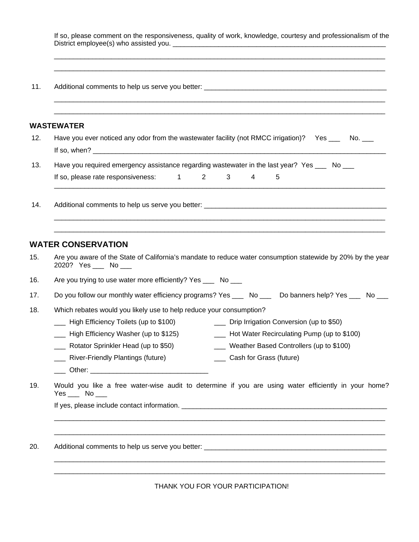| WASTEWATER                                                                                                                                                                                                                                                                                                                                                                                                                                                                                                                                                                                             |
|--------------------------------------------------------------------------------------------------------------------------------------------------------------------------------------------------------------------------------------------------------------------------------------------------------------------------------------------------------------------------------------------------------------------------------------------------------------------------------------------------------------------------------------------------------------------------------------------------------|
| Have you ever noticed any odor from the wastewater facility (not RMCC irrigation)? Yes ___ No. ___                                                                                                                                                                                                                                                                                                                                                                                                                                                                                                     |
| Have you required emergency assistance regarding wastewater in the last year? Yes ____ No ___<br>If so, please rate responsiveness: 1 2<br>$3^{\circ}$<br>4<br>5                                                                                                                                                                                                                                                                                                                                                                                                                                       |
|                                                                                                                                                                                                                                                                                                                                                                                                                                                                                                                                                                                                        |
| <b>WATER CONSERVATION</b>                                                                                                                                                                                                                                                                                                                                                                                                                                                                                                                                                                              |
| 2020? Yes ___ No ___                                                                                                                                                                                                                                                                                                                                                                                                                                                                                                                                                                                   |
| Are you aware of the State of California's mandate to reduce water consumption statewide by 20% by the year<br>Are you trying to use water more efficiently? Yes ____ No ___                                                                                                                                                                                                                                                                                                                                                                                                                           |
| Do you follow our monthly water efficiency programs? Yes _____ No _____ Do banners help? Yes _____ No ___<br>Which rebates would you likely use to help reduce your consumption?<br>- High Efficiency Toilets (up to \$100) - The Prip Irrigation Conversion (up to \$50)<br>High Efficiency Washer (up to \$125) _______<br>Hot Water Recirculating Pump (up to \$100)<br>Rotator Sprinkler Head (up to \$50)<br>___ Weather Based Controllers (up to \$100)<br>___ Cash for Grass (future)<br><b>EXECUTE:</b> River-Friendly Plantings (future)<br><u>December:</u> Other: 2004 <b>December 2006</b> |

THANK YOU FOR YOUR PARTICIPATION!

\_\_\_\_\_\_\_\_\_\_\_\_\_\_\_\_\_\_\_\_\_\_\_\_\_\_\_\_\_\_\_\_\_\_\_\_\_\_\_\_\_\_\_\_\_\_\_\_\_\_\_\_\_\_\_\_\_\_\_\_\_\_\_\_\_\_\_\_\_\_\_\_\_\_\_\_\_\_\_\_\_\_\_\_\_\_\_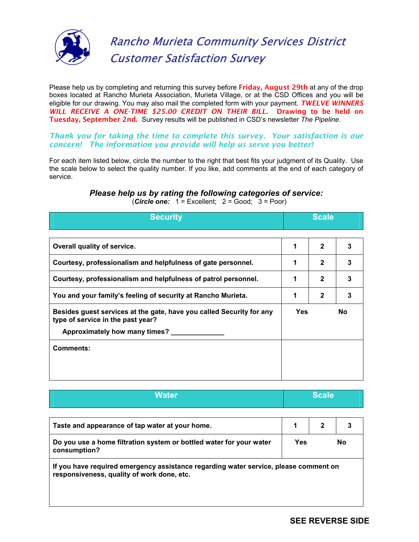

# Rancho Murieta Community Services District Customer Satisfaction Survey

Please help us by completing and returning this survey before **Friday, August 29th** at any of the drop boxes located at Rancho Murieta Association, Murieta Village, or at the CSD Offices and you will be eligible for our drawing*.* You may also mail the completed form with your payment. *TWELVE WINNERS WILL RECEIVE A ONE-TIME \$25.00 CREDIT ON THEIR BILL.* Drawing to be held on Tuesday, September 2nd. Survey results will be published in CSD's newsletter *The Pipeline*.

### *Thank you for taking the time to complete this survey. Your satisfaction is our concern! The information you provide will help us serve you better!*

For each item listed below, circle the number to the right that best fits your judgment of its Quality. Use the scale below to select the quality number. If you like, add comments at the end of each category of service.

## *Please help us by rating the following categories of service:*

| <b>Security</b>                                                                                           | <b>Scale</b> |              |     |
|-----------------------------------------------------------------------------------------------------------|--------------|--------------|-----|
| Overall quality of service.                                                                               | 1            | $\mathbf{2}$ | 3   |
| Courtesy, professionalism and helpfulness of gate personnel.                                              | 1            | $\mathbf{2}$ | 3   |
| Courtesy, professionalism and helpfulness of patrol personnel.                                            | 1            | $\mathbf{2}$ | 3   |
| You and your family's feeling of security at Rancho Murieta.                                              | 1            | $\mathbf{2}$ | 3   |
| Besides guest services at the gate, have you called Security for any<br>type of service in the past year? | <b>Yes</b>   |              | No. |
| Approximately how many times?                                                                             |              |              |     |
| <b>Comments:</b>                                                                                          |              |              |     |
|                                                                                                           |              |              |     |
|                                                                                                           |              |              |     |

(*Circle one:* 1 = Excellent; 2 = Good; 3 = Poor)

| Water | <b>Scale</b> |
|-------|--------------|
|       |              |

| Taste and appearance of tap water at your home.                                     |     |    |
|-------------------------------------------------------------------------------------|-----|----|
| Do you use a home filtration system or bottled water for your water<br>consumption? | Yes | No |

**If you have required emergency assistance regarding water service, please comment on responsiveness, quality of work done, etc.**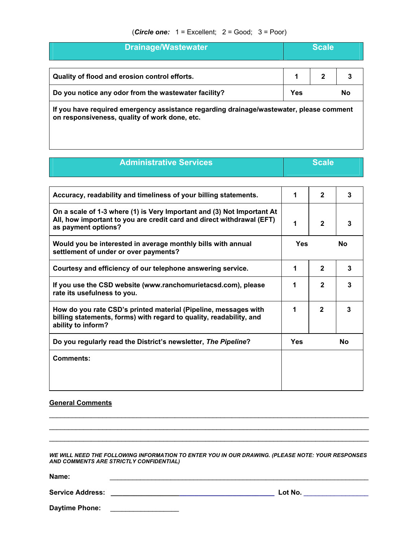### (*Circle one:* 1 = Excellent; 2 = Good; 3 = Poor)

| <b>Drainage/Wastewater</b>                                                                                                               |     | <b>Scale</b> |    |
|------------------------------------------------------------------------------------------------------------------------------------------|-----|--------------|----|
| Quality of flood and erosion control efforts.                                                                                            |     |              |    |
| Do you notice any odor from the wastewater facility?                                                                                     | Yes |              | No |
| If you have required emergency assistance regarding drainage/wastewater, please comment<br>on responsiveness, quality of work done, etc. |     |              |    |

**Administrative Services** and **Scale Scale** 

| Accuracy, readability and timeliness of your billing statements.                                                                                                       | 1          | $\mathfrak{p}$ | 3         |
|------------------------------------------------------------------------------------------------------------------------------------------------------------------------|------------|----------------|-----------|
| On a scale of 1-3 where (1) is Very Important and (3) Not Important At<br>All, how important to you are credit card and direct withdrawal (EFT)<br>as payment options? | 1          | $\mathbf{2}$   | 3         |
| Would you be interested in average monthly bills with annual<br>settlement of under or over payments?                                                                  | <b>Yes</b> |                | <b>No</b> |
| Courtesy and efficiency of our telephone answering service.                                                                                                            | 1          | $\mathbf{2}$   | 3         |
| If you use the CSD website (www.ranchomurietacsd.com), please<br>rate its usefulness to you.                                                                           | 1          | $\mathbf{2}$   | 3         |
| How do you rate CSD's printed material (Pipeline, messages with<br>billing statements, forms) with regard to quality, readability, and<br>ability to inform?           | 1          | $\mathbf{2}$   | 3         |
| Do you regularly read the District's newsletter, The Pipeline?                                                                                                         | Yes        |                | No        |
| Comments:                                                                                                                                                              |            |                |           |
|                                                                                                                                                                        |            |                |           |

### **General Comments**

*WE WILL NEED THE FOLLOWING INFORMATION TO ENTER YOU IN OUR DRAWING. (PLEASE NOTE: YOUR RESPONSES AND COMMENTS ARE STRICTLY CONFIDENTIAL)* 

 $\mathcal{L}_\text{max}$  , and the contribution of the contribution of the contribution of the contribution of the contribution of the contribution of the contribution of the contribution of the contribution of the contribution of t  $\_$  , and the set of the set of the set of the set of the set of the set of the set of the set of the set of the set of the set of the set of the set of the set of the set of the set of the set of the set of the set of th  $\mathcal{L}_\text{max}$  , and the contribution of the contribution of the contribution of the contribution of the contribution of the contribution of the contribution of the contribution of the contribution of the contribution of t

**Name:** \_\_\_\_\_\_\_\_\_\_\_\_\_\_\_\_\_\_\_\_\_\_\_\_\_\_\_\_\_\_\_\_\_\_\_\_\_\_\_\_\_\_\_\_\_\_\_\_\_\_\_\_\_\_\_\_\_\_\_\_\_\_\_\_\_\_\_\_

**Service Address: \_\_\_\_\_\_\_\_\_\_\_\_\_\_\_\_\_\_\_\_\_\_\_\_\_\_\_\_\_\_\_\_\_\_\_\_\_\_\_\_\_\_\_ Lot No.** \_\_\_\_\_\_\_\_\_\_\_\_\_\_\_\_\_

| <b>Daytime Phone:</b> |  |  |  |
|-----------------------|--|--|--|
|                       |  |  |  |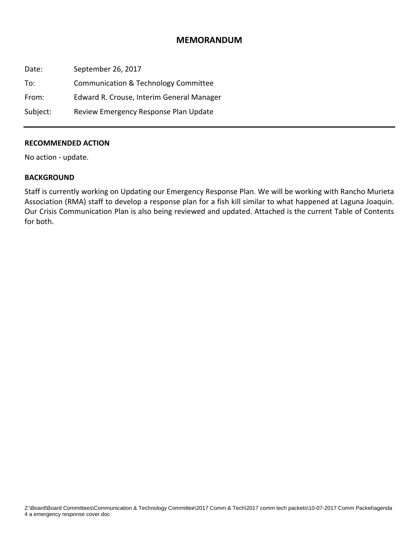### **MEMORANDUM**

Date: September 26, 2017 To: Communication & Technology Committee From: Edward R. Crouse, Interim General Manager Subject: Review Emergency Response Plan Update

### **RECOMMENDED ACTION**

No action ‐ update.

### **BACKGROUND**

Staff is currently working on Updating our Emergency Response Plan. We will be working with Rancho Murieta Association (RMA) staff to develop a response plan for a fish kill similar to what happened at Laguna Joaquin. Our Crisis Communication Plan is also being reviewed and updated. Attached is the current Table of Contents for both.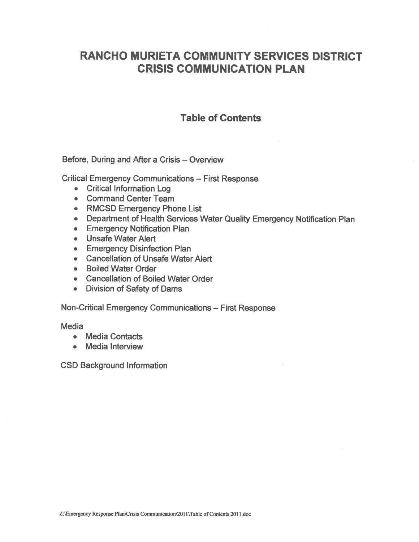# **RANCHO MURIETA COMMUNITY SERVICES DISTRICT CRISIS COMMUNICATION PLAN**

## **Table of Contents**

Before, During and After a Crisis - Overview

**Critical Emergency Communications - First Response** 

- Critical Information Log
- Command Center Team
- RMCSD Emergency Phone List
- Department of Health Services Water Quality Emergency Notification Plan
- Emergency Notification Plan
- Unsafe Water Alert
- Emergency Disinfection Plan
- Cancellation of Unsafe Water Alert
- Boiled Water Order
- Cancellation of Boiled Water Order
- Division of Safety of Dams

Non-Critical Emergency Communications -- First Response

**Media** 

- Media Contacts
- Media Interview

**CSD Background Information**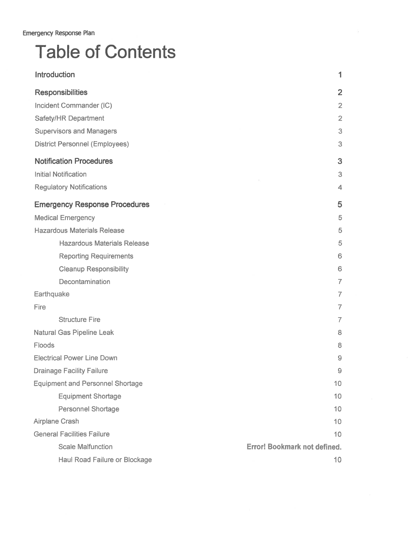# **Table of Contents**

| Introduction                            | 1                                   |
|-----------------------------------------|-------------------------------------|
| <b>Responsibilities</b>                 | $\overline{2}$                      |
| Incident Commander (IC)                 | $\overline{2}$                      |
| Safety/HR Department                    | $\overline{2}$                      |
| <b>Supervisors and Managers</b>         | 3                                   |
| <b>District Personnel (Employees)</b>   | 3                                   |
| <b>Notification Procedures</b>          | 3                                   |
| <b>Initial Notification</b>             | 3                                   |
| <b>Regulatory Notifications</b>         | 4                                   |
| <b>Emergency Response Procedures</b>    | 5                                   |
| <b>Medical Emergency</b>                | 5                                   |
| <b>Hazardous Materials Release</b>      | 5                                   |
| <b>Hazardous Materials Release</b>      | 5                                   |
| <b>Reporting Requirements</b>           | 6                                   |
| <b>Cleanup Responsibility</b>           | 6                                   |
| Decontamination                         | $\overline{7}$                      |
| Earthquake                              | $\overline{7}$                      |
| Fire                                    | $\overline{7}$                      |
| <b>Structure Fire</b>                   | 7                                   |
| <b>Natural Gas Pipeline Leak</b>        | 8                                   |
| Floods                                  | 8                                   |
| <b>Electrical Power Line Down</b>       | 9                                   |
| <b>Drainage Facility Failure</b>        | 9                                   |
| <b>Equipment and Personnel Shortage</b> | 10                                  |
| <b>Equipment Shortage</b>               | 10                                  |
| <b>Personnel Shortage</b>               | 10                                  |
| Airplane Crash                          | 10                                  |
| <b>General Facilities Failure</b>       | 10                                  |
| <b>Scale Malfunction</b>                | <b>Error! Bookmark not defined.</b> |
| Haul Road Failure or Blockage           | 10 <sub>1</sub>                     |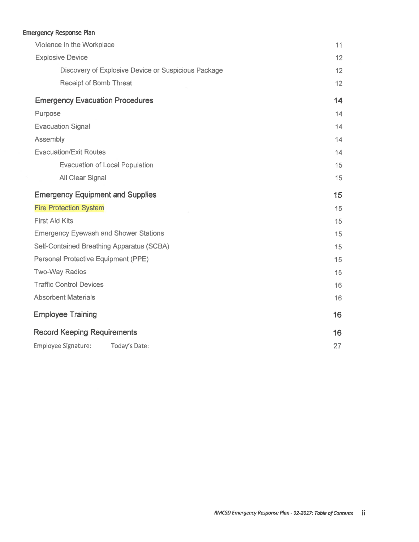## Emergency Response Plan

| Violence in the Workplace                           | 11 |
|-----------------------------------------------------|----|
| <b>Explosive Device</b>                             | 12 |
| Discovery of Explosive Device or Suspicious Package | 12 |
| <b>Receipt of Bomb Threat</b>                       | 12 |
| <b>Emergency Evacuation Procedures</b>              | 14 |
| Purpose                                             | 14 |
| <b>Evacuation Signal</b>                            | 14 |
| Assembly                                            | 14 |
| <b>Evacuation/Exit Routes</b>                       | 14 |
| <b>Evacuation of Local Population</b>               | 15 |
| All Clear Signal                                    | 15 |
| <b>Emergency Equipment and Supplies</b>             | 15 |
| <b>Fire Protection System</b>                       | 15 |
| <b>First Aid Kits</b>                               | 15 |
| <b>Emergency Eyewash and Shower Stations</b>        | 15 |
| Self-Contained Breathing Apparatus (SCBA)           | 15 |
| Personal Protective Equipment (PPE)                 | 15 |
| <b>Two-Way Radios</b>                               | 15 |
| <b>Traffic Control Devices</b>                      | 16 |
| <b>Absorbent Materials</b>                          | 16 |
| <b>Employee Training</b>                            | 16 |
| <b>Record Keeping Requirements</b>                  | 16 |
| <b>Employee Signature:</b><br>Today's Date:         | 27 |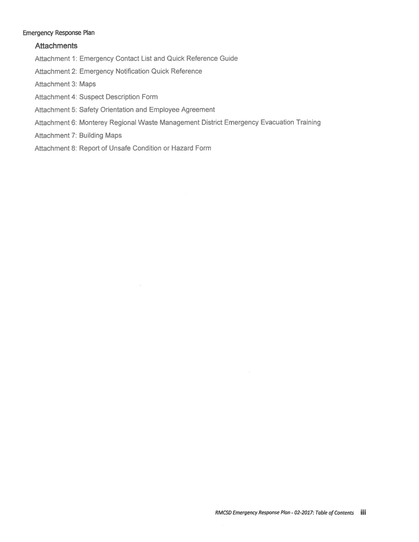### **Emergency Response Plan**

### **Attachments**

Attachment 1: Emergency Contact List and Quick Reference Guide

Attachment 2: Emergency Notification Quick Reference

Attachment 3: Maps

Attachment 4: Suspect Description Form

Attachment 5: Safety Orientation and Employee Agreement

Attachment 6: Monterey Regional Waste Management District Emergency Evacuation Training

**Attachment 7: Building Maps** 

Attachment 8: Report of Unsafe Condition or Hazard Form

.<br>Si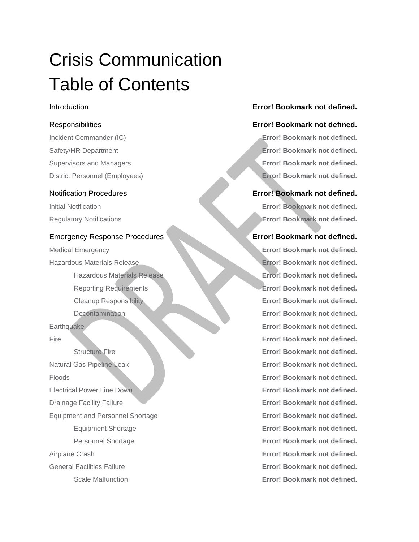# Crisis Communication Table of Contents

### Emergency Response Procedures **EXECUTE:** Execute Procedures **Error! Bookmark not defined.**

Natural Gas Pipeline Leak **Error! Bookmark not defined.** Floods **Error! Bookmark not defined.** Electrical Power Line Down **Error! Bookmark not defined. Drainage Facility Failure <b>Error! Bookmark not defined.** Equipment and Personnel Shortage **Error! Bookmark not defined.** Airplane Crash **Error! Bookmark not defined.** General Facilities Failure **Error! Bookmark not defined.**

## Introduction **Error! Bookmark not defined.**

### Responsibilities **Error! Bookmark not defined.**

Incident Commander (IC) **Error! Bookmark not defined.** Safety/HR Department **Error! Bookmark not defined.** Supervisors and Managers **Error! Bookmark not defined.** District Personnel (Employees) **Error! Bookmark not defined.**

### Notification Procedures **Error! Bookmark not defined.**

Initial Notification **Error! Bookmark not defined.** Regulatory Notifications **Error! Bookmark not defined.**

Medical Emergency **Error! Bookmark not defined.** Hazardous Materials Release **Error! Bookmark not defined.** Hazardous Materials Release **Error! Bookmark not defined.** Reporting Requirements **Error! Bookmark not defined.** Cleanup Responsibility **Error! Bookmark not defined.** Decontamination **Error! Bookmark not defined. Earthquake Error! Bookmark not defined.** Fire **Error! Bookmark not defined.** Structure Fire **Error! Bookmark not defined.** Equipment Shortage **Error! Bookmark not defined.** Personnel Shortage **Error! Bookmark not defined.** Scale Malfunction **Error! Bookmark not defined.**